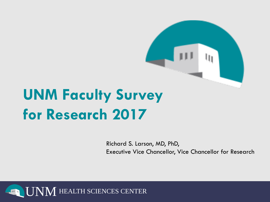

Richard S. Larson, MD, PhD, Executive Vice Chancellor, Vice Chancellor for Research

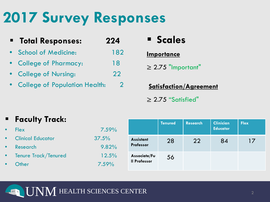# **2017 Survey Responses**

| " Total Responses:              | 224 |    |
|---------------------------------|-----|----|
| • School of Medicine:           | 182 | lm |
| • College of Pharmacy:          | 18  | >  |
| • College of Nursing:           | 22  |    |
| • College of Population Health: |     |    |

# **Scales**

### **Importance**

2.75 "Important"

**Satisfaction/Agreement** ≥ 2.75 "Satisfied"

### **Faculty Track:**

| <b>Flex</b>              | 7.59%    |
|--------------------------|----------|
| <b>Clinical Educator</b> | 37.5%    |
| <b>Research</b>          | 9.82%    |
| Tenure Track/Tenured     | 12.5%    |
| Other                    | $7.59\%$ |

|                                     | <b>Tenured</b> | <b>Research</b> | <b>Clinician</b><br><b>Educator</b> | <b>Flex</b> |
|-------------------------------------|----------------|-----------------|-------------------------------------|-------------|
| <b>Assistant</b><br>Professor       | 28             | 22              | 84                                  | 17          |
| Associate/Fu<br><b>Il Professor</b> | 56             |                 |                                     |             |

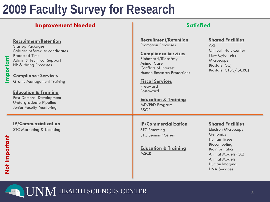### **Improvement Needed Satisfied**

#### **Recruitment/Retention**

Startup Packages Salaries offered to candidates Protected Time Admin & Technical Support HR & Hiring Processes

### **Compliance Services**

Grants Management Training

### **Education & Training**

Post-Doctoral Development Undergraduate Pipeline Junior Faculty Mentoring

### **IP/Commercialization**

STC Marketing & Licensing

**Recruitment/Retention** Promotion Processes

#### **Compliance Services**

Biohazard/Biosafety Animal Care Conflicts of Interest Human Research Protections

**Fiscal Services** Preaward Postaward

#### **Education & Training** MD/PhD Program BSGP

### **IP/Commercialization**

STC Patenting STC Seminar Series

**Education & Training MSCR** 

### **Shared Facilities**

ARF Clinical Trials Center Flow Cytometry Microscopy Biostats (CC) Biostats (CTSC/GCRC)

### **Shared Facilities**

Electron Microscopy **Genomics** Human Tissue Biocomputing Bioinformatics Animal Models (CC) Animal Models Human Imaging DNA Services

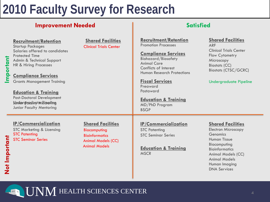### **Improvement Needed Satisfied**

| mportant      | <b>Recruitment/Retention</b><br><b>Startup Packages</b><br>Salaries offered to candidates<br><b>Protected Time</b><br>Admin & Technical Support<br>HR & Hiring Processes<br><b>Compliance Services</b><br><b>Grants Management Training</b><br><b>Education &amp; Training</b><br>Post-Doctoral Development<br>Under Fuduot Meineling<br><b>Junior Faculty Mentoring</b> | <b>Shared Facilities</b><br><b>Clinical Trials Center</b>                                                              | <b>Recruitment/Retention</b><br><b>Promotion Processes</b><br><b>Compliance Services</b><br><b>Biohazard/Biosafety</b><br><b>Animal Care</b><br>Conflicts of Interest<br><b>Human Research Protections</b><br><b>Fiscal Services</b><br>Preaward<br>Postaward<br><b>Education &amp; Training</b><br>MD/PhD Program<br><b>BSGP</b> | <b>Shared Facilities</b><br><b>ARF</b><br><b>Clinical Trials Center</b><br>Flow Cytometry<br>Microscopy<br><b>Biostats (CC)</b><br><b>Biostats (CTSC/GCRC)</b><br><b>Undergraduate Pipeline</b>                          |
|---------------|--------------------------------------------------------------------------------------------------------------------------------------------------------------------------------------------------------------------------------------------------------------------------------------------------------------------------------------------------------------------------|------------------------------------------------------------------------------------------------------------------------|-----------------------------------------------------------------------------------------------------------------------------------------------------------------------------------------------------------------------------------------------------------------------------------------------------------------------------------|--------------------------------------------------------------------------------------------------------------------------------------------------------------------------------------------------------------------------|
| Not Important | <b>IP/Commercialization</b><br><b>STC Marketing &amp; Licensing</b><br><b>STC Patenting</b><br><b>STC Seminar Series</b>                                                                                                                                                                                                                                                 | <b>Shared Facilities</b><br>Biocomputing<br><b>Bioinformatics</b><br><b>Animal Models (CC)</b><br><b>Animal Models</b> | <b>IP/Commercialization</b><br><b>STC Patenting</b><br><b>STC Seminar Series</b><br><b>Education &amp; Training</b><br><b>MSCR</b>                                                                                                                                                                                                | <b>Shared Facilities</b><br><b>Electron Microscopy</b><br>Genomics<br><b>Human Tissue</b><br>Biocomputing<br><b>Bioinformatics</b><br>Animal Models (CC)<br><b>Animal Models</b><br>Human Imaging<br><b>DNA Services</b> |

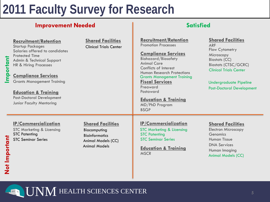### **Improvement Needed and Satisfied Satisfied**

| mportant      | <b>Recruitment/Retention</b><br><b>Startup Packages</b><br>Salaries offered to candidates<br><b>Protected Time</b><br>Admin & Technical Support<br>HR & Hiring Processes<br><b>Compliance Services</b><br><b>Grants Management Training</b><br><b>Education &amp; Training</b><br><b>Post-Doctoral Development</b><br>Junior Faculty Mentoring | <b>Shared Facilities</b><br><b>Clinical Trials Center</b>                                                       | <b>Recruitment/Retention</b><br><b>Promotion Processes</b><br><b>Compliance Services</b><br><b>Biohazard/Biosafety</b><br><b>Animal Care</b><br>Conflicts of Interest<br><b>Human Research Protections</b><br><b>Grants Management Training</b><br><b>Fiscal Services</b><br>Preaward<br>Postaward<br><b>Education &amp; Training</b><br>MD/PhD Program<br><b>BSGP</b> | <b>Shared Facilities</b><br><b>ARF</b><br>Flow Cytometry<br>Microscopy<br><b>Biostats (CC)</b><br><b>Biostats (CTSC/GCRC)</b><br><b>Clinical Trials Center</b><br><b>Undergraduate Pipeline</b><br><b>Post-Doctoral Development</b> |
|---------------|------------------------------------------------------------------------------------------------------------------------------------------------------------------------------------------------------------------------------------------------------------------------------------------------------------------------------------------------|-----------------------------------------------------------------------------------------------------------------|------------------------------------------------------------------------------------------------------------------------------------------------------------------------------------------------------------------------------------------------------------------------------------------------------------------------------------------------------------------------|-------------------------------------------------------------------------------------------------------------------------------------------------------------------------------------------------------------------------------------|
| Not Important | <b>IP/Commercialization</b><br><b>STC Marketing &amp; Licensing</b><br><b>STC Patenting</b><br><b>STC Seminar Series</b>                                                                                                                                                                                                                       | <b>Shared Facilities</b><br>Biocomputing<br><b>Bioinformatics</b><br>Animal Models (CC)<br><b>Animal Models</b> | <b>IP/Commercialization</b><br><b>STC Marketing &amp; Licensing</b><br><b>STC Patenting</b><br><b>STC Seminar Series</b><br><b>Education &amp; Training</b><br><b>MSCR</b>                                                                                                                                                                                             | <b>Shared Facilities</b><br><b>Electron Microscopy</b><br>Genomics<br><b>Human Tissue</b><br><b>DNA Services</b><br>Human Imaging<br><b>Animal Models (CC)</b>                                                                      |

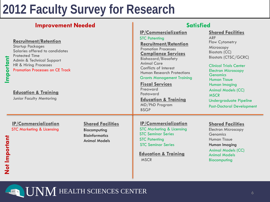### **Improvement Needed and Satisfied Satisfied**

| mportant      | <b>Recruitment/Retention</b><br><b>Startup Packages</b><br>Salaries offered to candidates<br><b>Protected Time</b><br>Admin & Technical Support<br>HR & Hiring Processes<br><b>Promotion Processes on CE Track</b><br><b>Education &amp; Training</b><br><b>Junior Faculty Mentoring</b> |                                                                                           | <b>IP/Commercialization</b><br><b>STC Patenting</b><br><b>Recruitment/Retention</b><br><b>Promotion Processes</b><br><b>Compliance Services</b><br><b>Biohazard/Biosafety</b><br><b>Animal Care</b><br>Conflicts of Interest<br><b>Human Research Protections</b><br><b>Grants Management Training</b><br><b>Fiscal Services</b><br>Preaward<br>Postaward<br><b>Education &amp; Training</b><br>MD/PhD Program<br><b>BSGP</b> | <b>Shared Facilities</b><br><b>ARF</b><br>Flow Cytometry<br>Microscopy<br><b>Biostats (CC)</b><br><b>Biostats (CTSC/GCRC)</b><br><b>Clinical Trials Center</b><br><b>Electron Microscopy</b><br><b>Genomics</b><br><b>Human Tissue</b><br>Human Imaging<br><b>Animal Models (CC)</b><br><b>MSCR</b><br><b>Undergraduate Pipeline</b><br><b>Post-Doctoral Development</b> |
|---------------|------------------------------------------------------------------------------------------------------------------------------------------------------------------------------------------------------------------------------------------------------------------------------------------|-------------------------------------------------------------------------------------------|-------------------------------------------------------------------------------------------------------------------------------------------------------------------------------------------------------------------------------------------------------------------------------------------------------------------------------------------------------------------------------------------------------------------------------|--------------------------------------------------------------------------------------------------------------------------------------------------------------------------------------------------------------------------------------------------------------------------------------------------------------------------------------------------------------------------|
| Not Important | <b>IP/Commercialization</b><br><b>STC Marketing &amp; Licensing</b>                                                                                                                                                                                                                      | <b>Shared Facilities</b><br>Biocomputing<br><b>Bioinformatics</b><br><b>Animal Models</b> | <b>IP/Commercialization</b><br><b>STC Marketing &amp; Licensing</b><br><b>STC Seminar Series</b><br><b>STC Patenting</b><br><b>STC Seminar Series</b><br><b>Education &amp; Training</b><br><b>MSCR</b>                                                                                                                                                                                                                       | <b>Shared Facilities</b><br><b>Electron Microscopy</b><br>Genomics<br><b>Human Tissue</b><br>Human Imaging<br><b>Animal Models (CC)</b><br><b>Animal Models</b><br>Biocomputing                                                                                                                                                                                          |

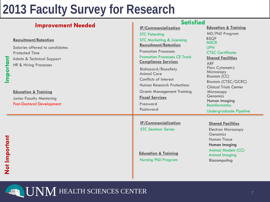**Important**

**Not Important**

Not Important

|                                                                                                                                               | <b>Satisfied</b>                                                                                                                                                                                                                                     |                                                                                                                                                                                  |
|-----------------------------------------------------------------------------------------------------------------------------------------------|------------------------------------------------------------------------------------------------------------------------------------------------------------------------------------------------------------------------------------------------------|----------------------------------------------------------------------------------------------------------------------------------------------------------------------------------|
| <b>Improvement Needed</b>                                                                                                                     | <b>IP/Commercialization</b>                                                                                                                                                                                                                          | <b>Education &amp; Training</b>                                                                                                                                                  |
|                                                                                                                                               | <b>STC Patenting</b>                                                                                                                                                                                                                                 | MD/PhD Program                                                                                                                                                                   |
| <b>Recruitment/Retention</b><br>Salaries offered to candidates<br><b>Protected Time</b><br>Admin & Technical Support<br>HR & Hiring Processes | <b>STC Marketing &amp; Licensing</b><br><b>Recruitment/Retention</b><br><b>Promotion Processes</b><br><b>Promotion Processes CE Track</b><br><b>Compliance Services</b><br><b>Biohazard/Biosafety</b><br><b>Animal Care</b><br>Conflicts of Interest | <b>BSGP</b><br><b>MSCR</b><br><b>UPN</b><br><b>CTSC Certificate</b><br><b>Shared Facilities</b><br><b>ARF</b><br>Flow Cytometry<br>Microscopy<br><b>Biostats (CC)</b>            |
| <b>Education &amp; Training</b><br><b>Junior Faculty Mentoring</b><br><b>Post-Doctoral Development</b>                                        | <b>Human Research Protections</b><br><b>Grants Management Training</b><br><b>Fiscal Services</b><br>Preaward<br>Postaward                                                                                                                            | <b>Biostats (CTSC/GCRC)</b><br><b>Clinical Trials Center</b><br>Microscopy<br>Genomics<br>Human Imaging<br><b>Bioinformatics</b><br><b>Undergraduate Pipeline</b>                |
|                                                                                                                                               | <b>IP/Commercialization</b><br><b>STC Seminar Series</b><br><b>Education &amp; Training</b><br><b>Nursing PhD Program</b>                                                                                                                            | <b>Shared Facilities</b><br><b>Electron Microscopy</b><br>Genomics<br><b>Human Tissue</b><br>Human Imaging<br><b>Animal Models (CC)</b><br><b>Animal Imaging</b><br>Biocomputing |

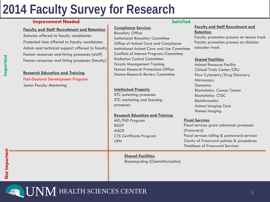### **Improvement Needed Satisfied Satisfied Satisfied**

#### **Faculty and Staff Recruitment and Retention**

Salaries offered to faculty candidates Protected time offered to faculty candidates Admin and technical support offered to faculty Human resources and hiring processes (staff) Human resources and hiring processes (faculty)

#### **Research Education and Training**

Post-Doctoral Development Program Junior Faculty Mentoring

#### **Compliance Services**

Biosafety Office Institutional Biosafety Committee Office of Animal Care and Compliance Institutional Animal Care and Use Committee Conflicts of Interest Program/Committee Radiation Control Committee Grants Management Training Human Research Protections Office Human Research Review Committee

#### **Intellectual Property**

STC patenting processes STC marketing and licensing processes

#### **Research Education and Training**

MD/PhD Program BSGP **MSCR** CTS Certificate Program UPN

#### **Faculty and Staff Recruitment and Retention**

Faculty promotion process on tenure track Faculty promotion process on clinician educator track

#### **Shared Facilities**

Animal Resource Facility Clinical Trials Center/CRU Flow Cytometry/Drug Discovery Microscopy **Genomics** Biostatistics- Cancer Center Biostatistics- CTSC **Bioinformatics** Animal Imaging Core Human Imaging

#### **Fiscal Services**

Fiscal services grant submission processes (Preaward) Fiscal services billing & postaward services Clarity of Preaward policies & procedures Timeliness of Preaward Services

**Shared Facilities** Biocomputing (Cheminformatics)

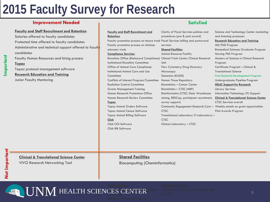### **Improvement Needed Satisfied Satisfied Satisfied**

#### **Faculty and Staff Recruitment and Retention**

Salaries offered to faculty candidates Protected time offered to faculty candidates Administrative and technical support offered to faculty candidates

Faculty Human Resources and hiring process

#### **Topaz**

**Important**

Topaz protocol management software **Research Education and Training** Junior Faculty Mentoring

#### **Faculty and Staff Recruitment and**

#### **Retention**

Faculty promotion process on tenure track Fiscal Services billing and postaward Faculty promotion process on clinician educator track **Compliance Services** Biosafety Office (Biohazard Compliance) Clinical Trials Center/Clinical Research Institutional Biosafety Committee Office of Animal Care Compliance Institutional Animal Care and Use **Committee** Conflicts of Interest Program/Committee Radiation Control Committee Grants Management Training Human Research Protections Office Human Research Review Committee **Topaz** Topaz Animal Orders Software Topaz Animal Census Software Topaz Animal Billing Software **Click**

procedures (pre & post award) services **Shared Facilities** Animal Resource Facility Unit Flow Cytometry/Drug Discovery Microscopy Genomics (KUGR) Human Tissue Repository Biostatistics – Cancer Center Biostatistics – CTSC (MRF) Bioinformatics (CTSC: Data Warehouse mining, REDCap, participant recruitment, survey support) **CTSC** Translational Laboratory (T-Laboratory) – **CTSC** 

Clinical Laboratory – CTSC

Clarity of Fiscal Services policies and

Community Engagement Research Core – Weekly emails on grant opportunities Science and Technology Center marketing and licensing processes **Research Education and Training** MD/PhD Program Biomedical Sciences Graduate Program Nursing PhD Program Masters of Science in Clinical Research Program Certificate Program – Clinical & Translational Science Post-Doctoral Development Program Undergraduate Pipeline Program **HSLIC Support for Research**  Library Services Information Technology (IT) Support **Clinical & Translational Science Center** CTSC Services overall Pilot Awards Program

**Clinical & Translational Science Center**

VIVO Research Networking Tool

**Shared Facilities** Biocomputing (Cheminformatics)

#### $\mathbf{UNM}$  HEALTH SCIENCES CENTER  $\mathbb{F}^{\mathbf{N}}$  Sepal Services grant submission process  $\mathbb{F}^{\mathbf{N}}$ (preaward)

Click COI Software Click IRB Software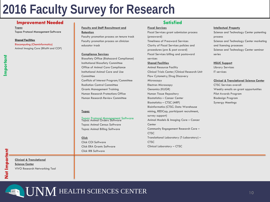#### **Improvement Needed Satisfied Satisfied Satisfied**

**Topaz**

Topaz Protocol Management Software

#### **Shared Facilities**

Animal Imaging Core (BRaIN and COP) Biocomputing (Cheminformatics)

**Clinical & Translational Science Center** VIVO Research Networking Tool

#### **Faculty and Staff Recruitment and Retention**

Faculty promotion process on tenure track Faculty promotion process on clinician educator track

#### **Compliance Services**

Biosafety Office (Biohazard Compliance) Institutional Biosafety Committee Office of Animal Care Compliance Institutional Animal Care and Use Committee Conflicts of Interest Program/Committee Radiation Control Committee Grants Management Training Human Research Protections Office Human Research Review Committee

#### **Topaz**

### <mark>Topaz Protocol Management Software</mark><br>Topaz Animal Orders Software

Topaz Animal Census Software Topaz Animal Billing Software

#### **Click**

Click COI Software Click ERA Grants Software Click IRB Software

#### **Fiscal Services**

Fiscal Services grant submission process (preaward) Timeliness of Preaward Services Clarity of Fiscal Services policies and procedures (pre & post award) Fiscal Services billing and postaward services

#### **Shared Facilities**

Animal Resource Facility Clinical Trials Center/Clinical Research Unit Flow Cytometry/Drug Discovery Microscopy Electron Microscopy Genomics (KUGR) Human Tissue Repository Biostatistics – Cancer Center Biostatistics – CTSC (MRF) Bioinformatics (CTSC: Data Warehouse mining, REDCap, participant recruitment, survey support) Animal Models & Imaging Core – Cancer **Center** Community Engagement Research Core – **CTSC** Translational Laboratory (T-Laboratory) – CTSC Clinical Laboratory – CTSC

#### **Intellectual Property**

Science and Technology Center patenting process Science and Technology Center marketing and licensing processes Science and Technology Center seminar series

#### **HSLIC Support**

Library Services IT services

#### **Clinical & Translational Science Center**

CTSC Services overall Weekly emails on grant opportunities Pilot Awards Program Biodesign Program Synergy Meetings

10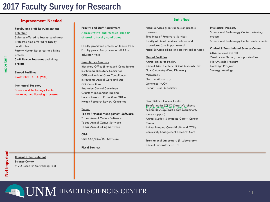### **Improvement Needed Satisfied Satisfied**

**Faculty and Staff Recruitment and Retention** Salaries offered to faculty candidates Protected time offered to faculty candidates Faculty Human Resources and hiring process Staff Human Resources and hiring process

**Shared Facilities** Biostatistics – CTSC (MRF)

**Intellectual Property** Science and Technology Center marketing and licensing processes **Faculty and Staff Recruitment**  Administrative and technical support offered to faculty candidates

Faculty promotion process on tenure track Faculty promotion process on clinician educator track

**Compliance Services**

Biosafety Office (Biohazard Compliance) Institutional Biosafety Committee Office of Animal Care Compliance Institutional Animal Care and Use COI Committee Radiation Control Committee Grants Management Training Human Research Protections Office Human Research Review Committee

#### **Topaz**

Topaz Protocol Management Software Topaz Animal Orders Software Topaz Animal Census Software Topaz Animal Billing Software

**Click** Click COI/ERA/IRB Software

#### **Fiscal Services**

Fiscal Services grant submission process (preaward) Timeliness of Preaward Services Clarity of Fiscal Services policies and procedures (pre & post award) Fiscal Services billing and postaward services

#### **Shared Facilities**

Animal Resource Facility Clinical Trials Center/Clinical Research Unit Flow Cytometry/Drug Discovery Microscopy Electron Microscopy Genomics (KUGR) Human Tissue Repository

#### Biostatistics – Cancer Center Bioinformatics (CTSC: Data Warehouse Biocomputing (Cheminformatics)<br>mining, REDCap, participant recruitment, survey support) Animal Models & Imaging Core – Cancer **Center** Animal Imaging Core (BRaIN and COP) Community Engagement Research Core

Translational Laboratory (T-Laboratory) Clinical Laboratory – CTSC

#### **Intellectual Property** Science and Technology Center patenting process

Science and Technology Center seminar series

#### **Clinical & Translational Science Center**

CTSC Services overall Weekly emails on grant opportunities Pilot Awards Program Biodesign Program Synergy Meetings

**Clinical & Translational Science Center** VIVO Research Networking Tool

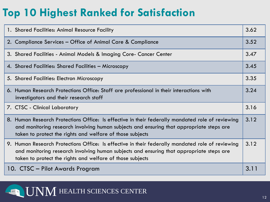## **Top 10 Highest Ranked for Satisfaction**

| 1. Shared Facilities: Animal Resource Facility                                                                                                                                                                                                            | 3.62 |
|-----------------------------------------------------------------------------------------------------------------------------------------------------------------------------------------------------------------------------------------------------------|------|
| 2. Compliance Services - Office of Animal Care & Compliance                                                                                                                                                                                               | 3.52 |
| 3. Shared Facilities - Animal Models & Imaging Core- Cancer Center                                                                                                                                                                                        | 3.47 |
| 4. Shared Facilities: Shared Facilities - Microscopy                                                                                                                                                                                                      | 3.45 |
| 5. Shared Facilities: Electron Microscopy                                                                                                                                                                                                                 | 3.35 |
| 6. Human Research Protections Office: Staff are professional in their interactions with<br>investigators and their research staff                                                                                                                         | 3.24 |
| 7. CTSC - Clinical Laboratory                                                                                                                                                                                                                             | 3.16 |
| 8. Human Research Protections Office: Is effective in their federally mandated role of reviewing<br>and monitoring research involving human subjects and ensuring that appropriate steps are<br>taken to protect the rights and welfare of those subjects | 3.12 |
| 9. Human Research Protections Office: Is effective in their federally mandated role of reviewing<br>and monitoring research involving human subjects and ensuring that appropriate steps are<br>taken to protect the rights and welfare of those subjects | 3.12 |
| 10. CTSC – Pilot Awards Program                                                                                                                                                                                                                           | 3.11 |

**LEALTH SCIENCES CENTER**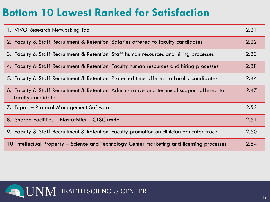## **Bottom 10 Lowest Ranked for Satisfaction**

| 1. VIVO Research Networking Tool                                                                                  | 2.21 |
|-------------------------------------------------------------------------------------------------------------------|------|
| 2. Faculty & Staff Recruitment & Retention: Salaries offered to faculty candidates                                | 2.22 |
| 3. Faculty & Staff Recruitment & Retention: Staff human resources and hiring processes                            | 2.33 |
| 4. Faculty & Staff Recruitment & Retention: Faculty human resources and hiring processes                          | 2.38 |
| 5. Faculty & Staff Recruitment & Retention: Protected time offered to faculty candidates                          | 2.44 |
| 6. Faculty & Staff Recruitment & Retention: Administrative and technical support offered to<br>faculty candidates | 2.47 |
| 7. Topaz – Protocol Management Software                                                                           | 2.52 |
| 8. Shared Facilities - Biostatistics - CTSC (MRF)                                                                 | 2.61 |
| 9. Faculty & Staff Recruitment & Retention: Faculty promotion on clinician educator track                         | 2.60 |
| 10. Intellectual Property – Science and Technology Center marketing and licensing processes                       | 2.64 |

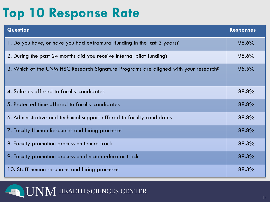# **Top 10 Response Rate**

| <b>Question</b>                                                                     | <b>Responses</b> |
|-------------------------------------------------------------------------------------|------------------|
| 1. Do you have, or have you had extramural funding in the last 3 years?             | 98.6%            |
| 2. During the past 24 months did you receive internal pilot funding?                | 98.6%            |
| 3. Which of the UNM HSC Research Signature Programs are aligned with your research? | 95.5%            |
| 4. Salaries offered to faculty candidates                                           | 88.8%            |
| 5. Protected time offered to faculty candidates                                     | 88.8%            |
| 6. Administrative and technical support offered to faculty candidates               | 88.8%            |
| 7. Faculty Human Resources and hiring processes                                     | 88.8%            |
| 8. Faculty promotion process on tenure track                                        | 88.3%            |
| 9. Faculty promotion process on clinician educator track                            | 88.3%            |
| 10. Staff human resources and hiring processes                                      | 88.3%            |

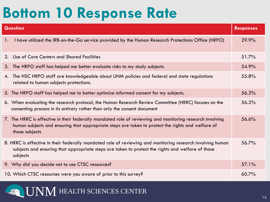# **Bottom 10 Response Rate**

|    | <b>Question</b>                                                                                                                                                                                                                 | <b>Responses</b> |
|----|---------------------------------------------------------------------------------------------------------------------------------------------------------------------------------------------------------------------------------|------------------|
| 1. | I have utilized the IRB-on-the-Go service provided by the Human Research Protections Office (HRPO)                                                                                                                              | 29.9%            |
| 2. | Use of Core Centers and Shared Facilities                                                                                                                                                                                       | 51.7%            |
| 3. | The HRPO staff has helped me better evaluate risks to my study subjects.                                                                                                                                                        | 54.9%            |
| 4. | The HSC HRPO staff are knowledgeable about UNM policies and federal and state regulations<br>related to human subjects protections.                                                                                             | 55.8%            |
|    | 5. The HRPO staff has helped me to better optimize informed consent for my subjects.                                                                                                                                            | 56.2%            |
|    | 6. When evaluating the research protocol, the Human Research Review Committee (HRRC) focuses on the<br>consenting process in its entirety rather than only the consent document                                                 | 56.2%            |
|    | 7. The HRRC is effective in their federally mandated role of reviewing and monitoring research involving<br>human subjects and ensuring that appropriate steps are taken to protect the rights and welfare of<br>those subjects | 56.6%            |
|    | 8. HRRC is effective in their federally mandated role of reviewing and monitoring research involving human<br>subjects and ensuring that appropriate steps are taken to protect the rights and welfare of those<br>subjects     | 56.7%            |
|    | 9. Why did you decide not to use CTSC resources?                                                                                                                                                                                | 57.1%            |
|    | 10. Which CTSC resources were you aware of prior to this survey?                                                                                                                                                                | 60.7%            |

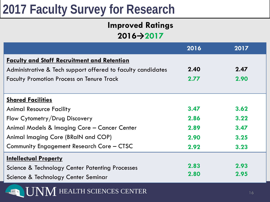### **Improved Ratings 2016→2017**

|                                                             | 2016 | 2017 |  |  |
|-------------------------------------------------------------|------|------|--|--|
| <b>Faculty and Staff Recruitment and Retention</b>          |      |      |  |  |
| Administrative & Tech support offered to faculty candidates | 2.40 | 2.47 |  |  |
| <b>Faculty Promotion Process on Tenure Track</b>            | 2.77 | 2.90 |  |  |
|                                                             |      |      |  |  |
| <b>Shared Facilities</b>                                    |      |      |  |  |
| <b>Animal Resource Facility</b>                             | 3.47 | 3.62 |  |  |
| Flow Cytometry/Drug Discovery                               | 2.86 | 3.22 |  |  |
| Animal Models & Imaging Core - Cancer Center                | 2.89 | 3.47 |  |  |
| Animal Imaging Core (BRaIN and COP)                         | 2.90 | 3.25 |  |  |
| Community Engagement Research Core - CTSC                   | 2.92 | 3.23 |  |  |
| <b>Intellectual Property</b>                                |      |      |  |  |
| Science & Technology Center Patenting Processes             | 2.83 | 2.93 |  |  |
| Science & Technology Center Seminar                         | 2.80 | 2.95 |  |  |
| HEALTH SCIENCES CENTER                                      |      | 16   |  |  |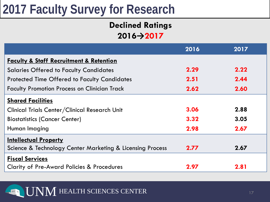### **Declined Ratings 2016→2017**

|                                                           | 2016 | 2017 |
|-----------------------------------------------------------|------|------|
| <b>Faculty &amp; Staff Recruitment &amp; Retention</b>    |      |      |
| <b>Salaries Offered to Faculty Candidates</b>             | 2.29 | 2.22 |
| <b>Protected Time Offered to Faculty Candidates</b>       | 2.51 | 2.44 |
| <b>Faculty Promotion Process on Clinician Track</b>       | 2.62 | 2.60 |
| <b>Shared Facilities</b>                                  |      |      |
| Clinical Trials Center/Clinical Research Unit             | 3.06 | 2.88 |
| <b>Biostatistics (Cancer Center)</b>                      | 3.32 | 3.05 |
| Human Imaging                                             | 2.98 | 2.67 |
| <b>Intellectual Property</b>                              |      |      |
| Science & Technology Center Marketing & Licensing Process | 2.77 | 2.67 |
| <b>Fiscal Services</b>                                    |      |      |
| <b>Clarity of Pre-Award Policies &amp; Procedures</b>     | 2.97 | 2.81 |

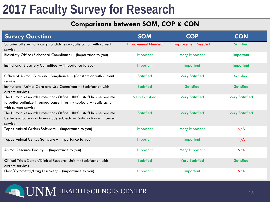### **Comparisons between SOM, COP & CON**

| <b>Survey Question</b>                                                                                                                                             | <b>SOM</b>                | <b>COP</b>                | <b>CON</b>            |
|--------------------------------------------------------------------------------------------------------------------------------------------------------------------|---------------------------|---------------------------|-----------------------|
| Salaries offered to faculty candidates - (Satisfaction with current<br>service)                                                                                    | <b>Improvement Needed</b> | <b>Improvement Needed</b> | <b>Satisfied</b>      |
| Biosafety Office (Biohazard Compliance) - (Importance to you)                                                                                                      | Important                 | <b>Very Important</b>     | Important             |
| Institutional Biosafety Committee - (Importance to you)                                                                                                            | Important                 | Important                 | Important             |
| Office of Animal Care and Compliance - (Satisfaction with current<br>service)                                                                                      | <b>Satisfied</b>          | <b>Very Satisfied</b>     | <b>Satisfied</b>      |
| Institutional Animal Care and Use Committee - (Satisfaction with<br>current service)                                                                               | <b>Satisfied</b>          | <b>Satisfied</b>          | <b>Satisfied</b>      |
| The Human Research Protections Office (HRPO) staff has helped me<br>to better optimize informed consent for my subjects $-$ (Satisfaction<br>with current service) | <b>Very Satisfied</b>     | <b>Very Satisfied</b>     | <b>Very Satisfied</b> |
| The Human Research Protections Office (HRPO) staff has helped me<br>better evaluate risks to my study subjects. - (Satisfaction with current<br>service)           | <b>Satisfied</b>          | <b>Very Satisfied</b>     | <b>Very Satisfied</b> |
| Topaz Animal Orders Software - (Importance to you)                                                                                                                 | Important                 | <b>Very Important</b>     | N/A                   |
| Topaz Animal Census Software - (Importance to you)                                                                                                                 | Important                 | Important                 | N/A                   |
| Animal Resource Facility - (Importance to you)                                                                                                                     | Important                 | Very Important            | N/A                   |
| Clinical Trials Center/Clinical Research Unit - (Satisfaction with<br>current service)                                                                             | <b>Satisfied</b>          | <b>Very Satisfied</b>     | <b>Satisfied</b>      |
| Flow/Cytometry/Drug Discovery - (Importance to you)                                                                                                                | Important                 | Important                 | N/A                   |

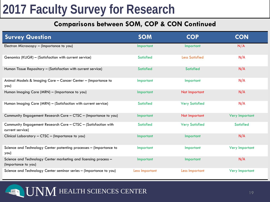### **Comparisons between SOM, COP & CON Continued**

| <b>Survey Question</b>                                                                 | <b>SOM</b>       | <b>COP</b>            | <b>CON</b>       |
|----------------------------------------------------------------------------------------|------------------|-----------------------|------------------|
| Electron Microscopy - (Importance to you)                                              | Important        | Important             | N/A              |
| Genomics (KUGR) - (Satisfaction with current service)                                  | <b>Satisfied</b> | <b>Less Satisfied</b> | N/A              |
| Human Tissue Repository - (Satisfaction with current service)                          | <b>Satisfied</b> | <b>Satisfied</b>      | N/A              |
| Animal Models & Imaging Core - Cancer Center - (Importance to<br>you)                  | Important        | Important             | N/A              |
| Human Imaging Core (MRN) - (Importance to you)                                         | Important        | Not Important         | N/A              |
| Human Imaging Core (MRN) - (Satisfaction with current service)                         | <b>Satisfied</b> | <b>Very Satisfied</b> | N/A              |
| Community Engagement Research Core - CTSC - (Importance to you)                        | Important        | Not Important         | Very Important   |
| Community Engagement Research Core - CTSC - (Satisfaction with<br>current service)     | <b>Satisfied</b> | <b>Very Satisfied</b> | <b>Satisfied</b> |
| Clinical Laboratory - CTSC - (Importance to you)                                       | Important        | Important             | N/A              |
| Science and Technology Center patenting processes - (Importance to<br>you)             | Important        | Important             | Very Important   |
| Science and Technology Center marketing and licensing process -<br>(Importance to you) | Important        | Important             | N/A              |
| Science and Technology Center seminar series - (Importance to you)                     | Less Important   | Less Important        | Very Important   |